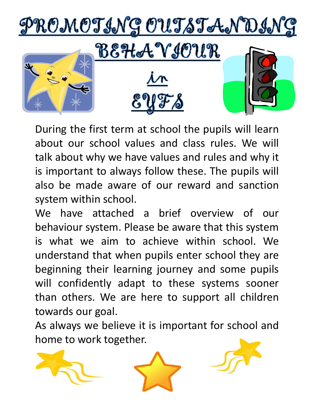

During the first term at school the pupils will learn about our school values and class rules. We will talk about why we have values and rules and why it is important to always follow these. The pupils will also be made aware of our reward and sanction system within school.

We have attached a brief overview of our behaviour system. Please be aware that this system is what we aim to achieve within school. We understand that when pupils enter school they are beginning their learning journey and some pupils will confidently adapt to these systems sooner than others. We are here to support all children towards our goal.

As always we believe it is important for school and home to work together.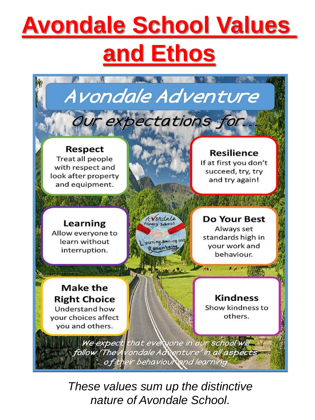# **Avondale School Values and Ethos**



*These values sum up the distinctive nature of Avondale School.*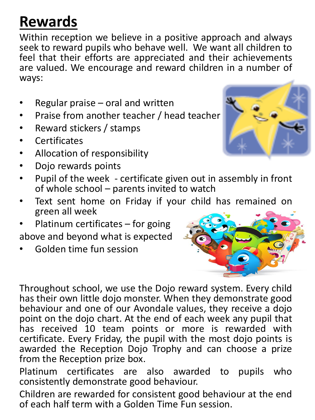## **Rewards**

Within reception we believe in a positive approach and always seek to reward pupils who behave well. We want all children to feel that their efforts are appreciated and their achievements are valued. We encourage and reward children in a number of ways:

- Regular praise  $-$  oral and written
- Praise from another teacher / head teacher
- Reward stickers / stamps
- **Certificates**
- Allocation of responsibility
- Dojo rewards points
- Pupil of the week certificate given out in assembly in front of whole school – parents invited to watch
- Text sent home on Friday if your child has remained on green all week
- Platinum certificates for going above and beyond what is expected
- Golden time fun session



Throughout school, we use the Dojo reward system. Every child has their own little dojo monster. When they demonstrate good behaviour and one of our Avondale values, they receive a dojo point on the dojo chart. At the end of each week any pupil that has received 10 team points or more is rewarded with certificate. Every Friday, the pupil with the most dojo points is awarded the Reception Dojo Trophy and can choose a prize from the Reception prize box.

Platinum certificates are also awarded to pupils who consistently demonstrate good behaviour.

Children are rewarded for consistent good behaviour at the end of each half term with a Golden Time Fun session.

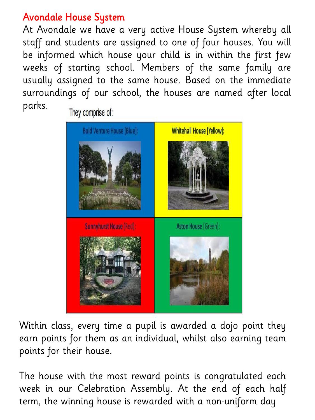### Avondale House System

At Avondale we have a very active House System whereby all staff and students are assigned to one of four houses. You will be informed which house your child is in within the first few weeks of starting school. Members of the same family are usually assigned to the same house. Based on the immediate surroundings of our school, the houses are named after local parks.



Within class, every time a pupil is awarded a dojo point they earn points for them as an individual, whilst also earning team points for their house.

The house with the most reward points is congratulated each week in our Celebration Assembly. At the end of each half term, the winning house is rewarded with a non-uniform day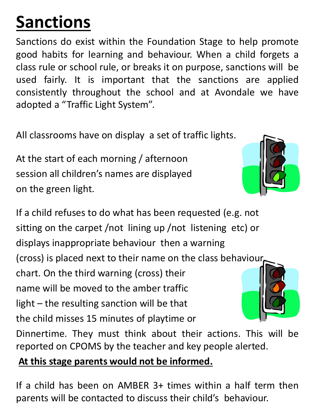# **Sanctions**

Sanctions do exist within the Foundation Stage to help promote good habits for learning and behaviour. When a child forgets a class rule or school rule, or breaks it on purpose, sanctions will be used fairly. It is important that the sanctions are applied consistently throughout the school and at Avondale we have adopted a "Traffic Light System".

All classrooms have on display a set of traffic lights.

At the start of each morning / afternoon session all children's names are displayed on the green light.

If a child refuses to do what has been requested (e.g. not sitting on the carpet /not lining up /not listening etc) or displays inappropriate behaviour then a warning (cross) is placed next to their name on the class behaviour chart. On the third warning (cross) their name will be moved to the amber traffic light – the resulting sanction will be that the child misses 15 minutes of playtime or Dinnertime. They must think about their actions. This will be

reported on CPOMS by the teacher and key people alerted.

### **At this stage parents would not be informed.**

If a child has been on AMBER 3+ times within a half term then parents will be contacted to discuss their child's behaviour.